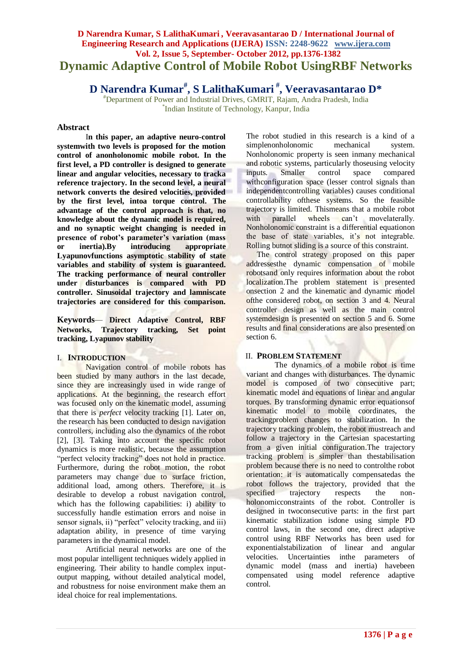# **D Narendra Kumar, S LalithaKumari , Veeravasantarao D / International Journal of Engineering Research and Applications (IJERA) ISSN: 2248-9622 www.ijera.com Vol. 2, Issue 5, September- October 2012, pp.1376-1382 Dynamic Adaptive Control of Mobile Robot UsingRBF Networks**

**D Narendra Kumar# , S LalithaKumari # , Veeravasantarao D\***

#Department of Power and Industrial Drives, GMRIT, Rajam, Andra Pradesh, India \* Indian Institute of Technology, Kanpur, India

### **Abstract**

I**n this paper, an adaptive neuro-control systemwith two levels is proposed for the motion control of anonholonomic mobile robot. In the first level, a PD controller is designed to generate linear and angular velocities, necessary to tracka reference trajectory. In the second level, a neural network converts the desired velocities, provided by the first level, intoa torque control. The advantage of the control approach is that, no knowledge about the dynamic model is required, and no synaptic weight changing is needed in presence of robot's parameter's variation (mass or inertia).By introducing appropriate Lyapunovfunctions asymptotic stability of state variables and stability of system is guaranteed. The tracking performance of neural controller under disturbances is compared with PD controller. Sinusoidal trajectory and lamniscate trajectories are considered for this comparison.**

**Keywords***—* **Direct Adaptive Control, RBF Networks, Trajectory tracking, Set point tracking, Lyapunov stability**

# I. **INTRODUCTION**

Navigation control of mobile robots has been studied by many authors in the last decade, since they are increasingly used in wide range of applications. At the beginning, the research effort was focused only on the kinematic model, assuming that there is *perfect* velocity tracking [1]. Later on, the research has been conducted to design navigation controllers, including also the dynamics of the robot [2], [3]. Taking into account the specific robot dynamics is more realistic, because the assumption "perfect velocity tracking" does not hold in practice. Furthermore, during the robot motion, the robot parameters may change due to surface friction, additional load, among others. Therefore, it is desirable to develop a robust navigation control, which has the following capabilities: i) ability to successfully handle estimation errors and noise in sensor signals, ii) "perfect" velocity tracking, and iii) adaptation ability, in presence of time varying parameters in the dynamical model.

Artificial neural networks are one of the most popular intelligent techniques widely applied in engineering. Their ability to handle complex inputoutput mapping, without detailed analytical model, and robustness for noise environment make them an ideal choice for real implementations.

The robot studied in this research is a kind of a simplenonholonomic mechanical system. Nonholonomic property is seen inmany mechanical and robotic systems, particularly thoseusing velocity inputs. Smaller control space compared withconfiguration space (lesser control signals than independentcontrolling variables) causes conditional controllability ofthese systems. So the feasible trajectory is limited. Thismeans that a mobile robot with parallel wheels can't movelaterally. Nonholonomic constraint is a differential equationon the base of state variables, it's not integrable. Rolling butnot sliding is a source of this constraint.

The control strategy proposed on this paper addressesthe dynamic compensation of mobile robotsand only requires information about the robot localization.The problem statement is presented onsection 2 and the kinematic and dynamic model ofthe considered robot, on section 3 and 4. Neural controller design as well as the main control system design is presented on section 5 and 6. Some results and final considerations are also presented on section 6.

# II. **PROBLEM STATEMENT**

The dynamics of a mobile robot is time variant and changes with disturbances. The dynamic model is composed of two consecutive part; kinematic model and equations of linear and angular torques. By transforming dynamic error equationsof kinematic model to mobile coordinates, the trackingproblem changes to stabilization. In the trajectory tracking problem, the robot mustreach and follow a trajectory in the Cartesian spacestarting from a given initial configuration.The trajectory tracking problem is simpler than thestabilisation problem because there is no need to controlthe robot orientation: it is automatically compensatedas the robot follows the trajectory, provided that the specified trajectory respects the nonholonomicconstraints of the robot. Controller is designed in twoconsecutive parts: in the first part kinematic stabilization isdone using simple PD control laws, in the second one, direct adaptive control using RBF Networks has been used for exponentialstabilization of linear and angular velocities. Uncertainties inthe parameters of dynamic model (mass and inertia) havebeen compensated using model reference adaptive control.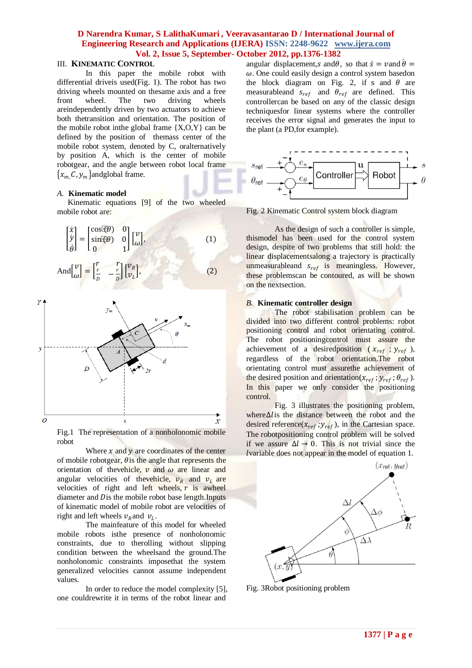### III. **KINEMATIC CONTROL**

In this paper the mobile robot with differential driveis used(Fig. 1). The robot has two driving wheels mounted on thesame axis and a free front wheel. The two driving wheels areindependently driven by two actuators to achieve both thetransition and orientation. The position of the mobile robot in the global frame  $\{X, O, Y\}$  can be defined by the position of themass center of the mobile robot system, denoted by C, oralternatively by position A, which is the center of mobile robotgear, and the angle between robot local frame  $\{x_m, C, y_m\}$ andglobal frame.

#### *A.* **Kinematic model**

Kinematic equations [9] of the two wheeled mobile robot are:

$$
\begin{bmatrix} \dot{x} \\ \dot{y} \\ \dot{\theta} \end{bmatrix} = \begin{bmatrix} \cos(\theta) & 0 \\ \sin(\theta) & 0 \\ 0 & 1 \end{bmatrix} \begin{bmatrix} v \\ \omega \end{bmatrix},
$$
\n
$$
And \begin{bmatrix} v \\ \omega \end{bmatrix} = \begin{bmatrix} \frac{r}{D} & -\frac{r}{D} \\ \frac{r}{D} & -\frac{r}{D} \end{bmatrix} \begin{bmatrix} v_R \\ v_L \end{bmatrix},
$$
\n(1)



Fig.1 The representation of a nonholonomic mobile robot

Where  $x$  and  $y$  are coordinates of the center of mobile robotgear,  $\theta$  is the angle that represents the orientation of the vehicle,  $\nu$  and  $\omega$  are linear and angular velocities of the vehicle,  $v_R$  and  $v_L$  are velocities of right and left wheels,  $r$  is awheel diameter and Dis the mobile robot base length.Inputs of kinematic model of mobile robot are velocities of right and left wheels  $v_R$  and  $v_L$ .

The mainfeature of this model for wheeled mobile robots isthe presence of nonholonomic constraints, due to therolling without slipping condition between the wheelsand the ground.The nonholonomic constraints imposethat the system generalized velocities cannot assume independent values.

In order to reduce the model complexity [5], one couldrewrite it in terms of the robot linear and

angular displacement, s and  $\theta$ , so that  $\dot{s} = v$  and  $\dot{\theta} =$  $\omega$ . One could easily design a control system basedon the block diagram on Fig. 2, if s and  $\theta$  are measurableand  $s_{ref}$  and  $\theta_{ref}$  are defined. This controllercan be based on any of the classic design techniquesfor linear systems where the controller receives the error signal and generates the input to the plant (a PD,for example).



Fig. 2 Kinematic Control system block diagram

As the design of such a controller is simple, thismodel has been used for the control system design, despite of two problems that still hold: the linear displacement*s*along a trajectory is practically unmeasurableand  $s_{ref}$  is meaningless. However, these problemscan be contoured, as will be shown on the nextsection.

### *B.* **Kinematic controller design**

The robot stabilisation problem can be divided into two different control problems: robot positioning control and robot orientating control. The robot positioning control must assure the achievement of a desired position ( $x_{ref}$ ;  $y_{ref}$ ), regardless of the robot orientation.The robot orientating control must assurethe achievement of the desired position and orientation( $x_{ref}$ ;  $y_{ref}$ ;  $\theta_{ref}$ ). In this paper we only consider the positioning control.

Fig. 3 illustrates the positioning problem, where∆l is the distance between the robot and the desired reference( $x_{ref}$ ;  $y_{ref}$ ), in the Cartesian space. The robotpositioning control problem will be solved if we assure  $\Delta l \rightarrow 0$ . This is not trivial since the variable does not appear in the model of equation 1.



Fig. 3Robot positioning problem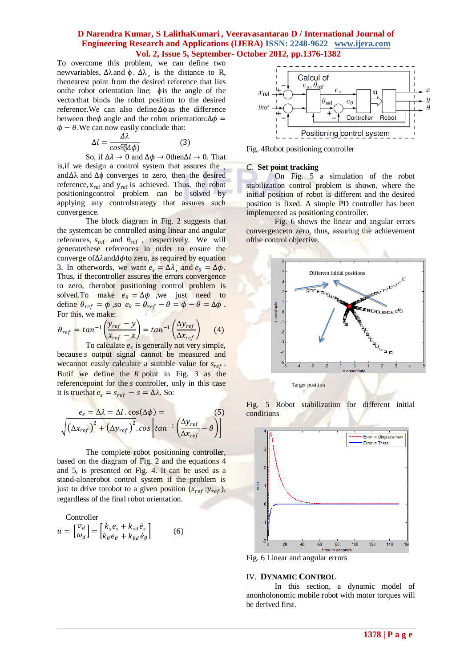To overcome this problem, we can define two newvariables,  $Δλ$  and  $φ$ .  $Δλ$ <sub>s</sub> is the distance to R, thenearest point from the desired reference that lies onthe robot orientation line; ϕis the angle of the vectorthat binds the robot position to the desired reference.We can also define ∆ϕ as the difference between the $\phi$  angle and the robot orientation: $\Delta \phi$  =  $\phi - \theta$ . We can now easily conclude that:

$$
\Delta l = \frac{\Delta \lambda}{\cos(\Phi)}\tag{3}
$$

So, if  $\Delta \lambda \to 0$  and  $\Delta \phi \to 0$  then $\Delta l \to 0$ . That is,if we design a control system that assures the ¸ and∆λ and ∆ϕ converges to zero, then the desired reference,  $x_{ref}$  and  $y_{ref}$  is achieved. Thus, the robot positioningcontrol problem can be solved by applying any controlstrategy that assures such convergence.

The block diagram in Fig. 2 suggests that the systemcan be controlled using linear and angular references,  $s_{ref}$  and  $\theta_{ref}$ , respectively. We will generatethese references in order to ensure the converge of∆ $\lambda$ and $\Delta \phi$ to zero, as required by equation 3. In otherwords, we want  $e_s = \Delta \lambda$ , and  $e_\theta = \Delta \phi$ . Thus, if thecontroller assures the errors convergence to zero, therobot positioning control problem is solved.To make  $e_{\theta} = \Delta \phi$  , we just need to define  $\theta_{ref} = \phi$ , so  $e_{\theta} = \theta_{ref} - \theta = \phi - \theta = \Delta \phi$ . For this, we make:

$$
\theta_{ref} = \tan^{-1} \left( \frac{y_{ref} - y}{x_{ref} - x} \right) = \tan^{-1} \left( \frac{\Delta y_{ref}}{\Delta x_{ref}} \right) \tag{4}
$$

To calculate  $e_s$  is generally not very simple, because *s* output signal cannot be measured and we cannot easily calculate a suitable value for  $s_{ref}$ . Butif we define the  $R$  point in Fig. 3 as the referencepoint for the *s* controller, only in this case it is truethat  $e_s = s_{ref} - s = \Delta \lambda$ . So:

$$
e_s = \Delta \lambda = \Delta l \cdot \cos(\Delta \phi) =
$$
\n
$$
\sqrt{(\Delta x_{ref})^2 + (\Delta y_{ref})^2} \cdot \cos \left[ \tan^{-1} \left( \frac{\Delta y_{ref}}{\Delta x_{ref}} - \theta \right) \right]
$$
\n(5)

The complete robot positioning controller, based on the diagram of Fig. 2 and the equations 4 and 5, is presented on Fig. 4. It can be used as a stand-alonerobot control system if the problem is just to drive torobot to a given position  $(x_{ref}; y_{ref})$ , regardless of the final robot orientation.

$$
\text{Controller} u = \begin{bmatrix} v_d \\ \omega_d \end{bmatrix} = \begin{bmatrix} k_s e_s + k_{sd} \dot{e}_s \\ k_{\theta} e_{\theta} + k_{\theta d} \dot{e}_{\theta} \end{bmatrix}
$$
 (6)



Fig. 4Robot positioning controller

### *C.* **Set point tracking**

On Fig. 5 a simulation of the robot stabilization control problem is shown, where the initial position of robot is different and the desired position is fixed. A simple PD controller has been implemented as positioning controller.

Fig. 6 shows the linear and angular errors convergenceto zero, thus, assuring the achievement ofthe control objective.



Fig. 5 Robot stabilization for different initial conditions



Fig. 6 Linear and angular errors

### IV. **DYNAMIC CONTROL**

In this section, a dynamic model of anonholonomic mobile robot with motor torques will be derived first.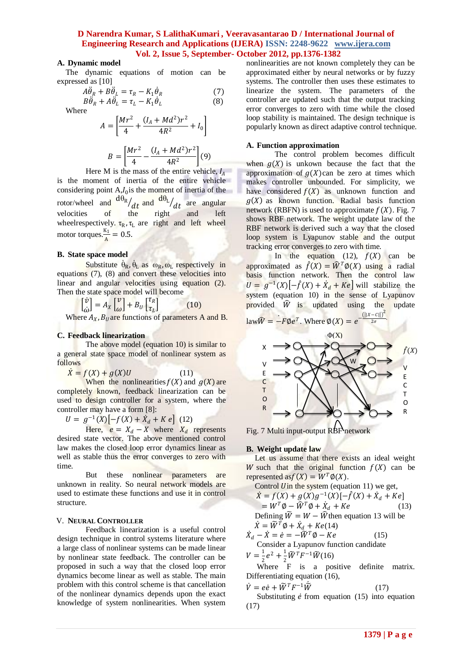# **A. Dynamic model**

The dynamic equations of motion can be expressed as [10]

$$
A\ddot{\theta}_R + B\ddot{\theta}_L = \tau_R - K_1\dot{\theta}_R
$$
  
\n
$$
B\ddot{\theta}_R + A\ddot{\theta}_L = \tau_L - K_1\dot{\theta}_L
$$
\n(7)

Where

$$
A = \left[\frac{Mr^2}{4} + \frac{(I_A + Md^2)r^2}{4R^2} + I_0\right]
$$

$$
B = \left[\frac{Mr^2}{4} - \frac{(I_A + Md^2)r^2}{4R^2}\right](9)
$$

Here M is the mass of the entire vehicle,  $I_4$ is the moment of inertia of the entire vehicle considering point  $A$ , $I_0$  is the moment of inertia of the rotor/wheel and  $\frac{d\theta_R}{dt}$  and  $\frac{d\theta_L}{dt}$  are angular velocities of the right and left wheelrespectively.  $\tau_R$ ,  $\tau_L$  are right and left wheel motor torques. $\frac{K_1}{4}$  $\frac{N_1}{A} = 0.5.$ 

### **B. State space model**

Substitute  $\dot{\theta}_R$ ,  $\dot{\theta}_L$  as  $\omega_R$ ,  $\omega_L$  respectively in equations (7), (8) and convert these velocities into linear and angular velocities using equation (2). Then the state space model will become

$$
\begin{bmatrix} \dot{v} \\ \dot{\omega} \end{bmatrix} = A_X \begin{bmatrix} v \\ \omega \end{bmatrix} + B_U \begin{bmatrix} \tau_R \\ \tau_L \end{bmatrix}
$$
 (10)

Where  $A_X$ ,  $B_U$  are functions of parameters A and B.

#### **C. Feedback linearization**

The above model (equation 10) is similar to a general state space model of nonlinear system as follows

 $\dot{X} = f(X) + g(X)U$  (11)

When the nonlinearities  $f(X)$  and  $g(X)$  are completely known, feedback linearization can be used to design controller for a system, where the controller may have a form [8]:

 $U = g^{-1}(X) \left[ -f(X) + \dot{X}_d + K e \right]$  (12)

Here,  $e = X_d - X$  where  $X_d$  represents desired state vector. The above mentioned control law makes the closed loop error dynamics linear as well as stable thus the error converges to zero with time.

But these nonlinear parameters are unknown in reality. So neural network models are used to estimate these functions and use it in control structure.

#### V. **NEURAL CONTROLLER**

Feedback linearization is a useful control design technique in control systems literature where a large class of nonlinear systems can be made linear by nonlinear state feedback. The controller can be proposed in such a way that the closed loop error dynamics become linear as well as stable. The main problem with this control scheme is that cancellation of the nonlinear dynamics depends upon the exact knowledge of system nonlinearities. When system

nonlinearities are not known completely they can be approximated either by neural networks or by fuzzy systems. The controller then uses these estimates to linearize the system. The parameters of the controller are updated such that the output tracking error converges to zero with time while the closed loop stability is maintained. The design technique is popularly known as direct adaptive control technique.

### **A. Function approximation**

The control problem becomes difficult when  $q(X)$  is unkown because the fact that the approximation of  $g(X)$ can be zero at times which makes controller unbounded. For simplicity, we have considered  $f(X)$  as unknown function and  $g(X)$  as known function. Radial basis function network (RBFN) is used to approximate  $f(X)$ . Fig. 7 shows RBF network. The weight update law of the RBF network is derived such a way that the closed loop system is Lyapunov stable and the output tracking error converges to zero with time.

In the equation (12),  $f(X)$  can be approximated as  $\hat{f}(X) = \hat{W}^T \hat{\varphi}(X)$  using a radial basis function network. Then the control law  $U = g^{-1}(X) \left[ -\hat{f}(X) + \dot{X}_d + Ke \right]$  will stabilize the system (equation 10) in the sense of Lyapunov provided  $\hat{W}$  is updated using the update  $\frac{(||X-c||)^2}{2\pi}$ 



Fig. 7 Multi input-output RBF network

### **B. Weight update law**

Let us assume that there exists an ideal weight W such that the original function  $f(X)$  can be represented as  $f(X) = W^T \phi(X)$ .

Control *U* in the system (equation 11) we get,  
\n
$$
\dot{X} = f(X) + g(X)g^{-1}(X)[-f(X) + \dot{X}_d + Ke]
$$
\n
$$
= W^T \emptyset - \hat{W}^T \emptyset + \dot{X}_d + Ke
$$
\n(13)  
\nDefining  $\tilde{W} = W - \hat{W}$  then equation 13 will be  
\n
$$
\dot{X} = \tilde{W}^T \emptyset + \dot{X}_d + Ke(14)
$$

$$
\dot{X}_d - \dot{X} = \dot{e} = -\tilde{W}^T \phi - Ke
$$
 (15)  
Consider a Lyapunov function candidate

 $V=\frac{1}{2}$  $\frac{1}{2}e^2 + \frac{1}{2}$  $\frac{1}{2}\widetilde{W}^T F^{-1} \widetilde{W}(16)$ 

Where F is a positive definite matrix. Differentiating equation (16),

$$
\dot{V} = e\dot{e} + \tilde{W}^T F^{-1} \tilde{W}
$$
 (17)  
Substituting  $\dot{e}$  from equation (15) into equation

Intuting  $e$  from equation (15) into equation (17)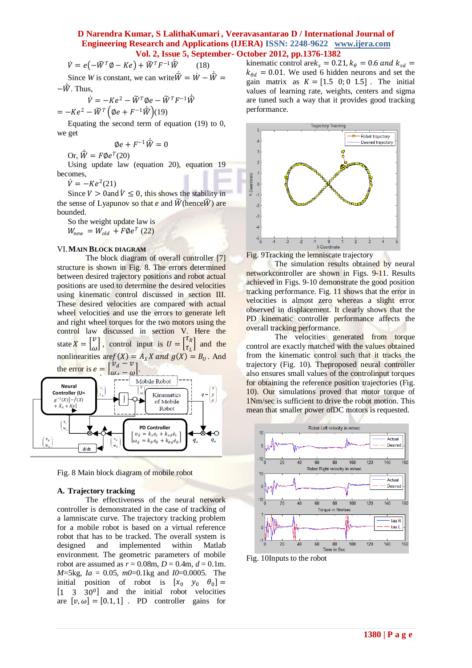$$
\dot{V} = e(-\widetilde{W}^T \phi - Ke) + \widetilde{W}^T F^{-1} \dot{\widetilde{W}}
$$
 (18)

Since *W* is constant, we can write  $\hat{\vec{W}} = \vec{W} - \hat{\vec{W}} =$ − . Thus,

$$
\dot{V} = -Ke^2 - \widetilde{W}^T \phi e - \widetilde{W}^T F^{-1} \widehat{W}
$$

$$
= -Ke^2 - \widetilde{W}^T \left(\phi e + F^{-1} \widehat{W}\right)(19)
$$

Equating the second term of equation (19) to 0, we get

$$
\emptyset e + F^{-1}\hat{W} = 0
$$

Or,  $\hat{W} = F \emptyset e^T (20)$ 

Using update law (equation 20), equation 19 becomes,

 $\dot{V} = -Ke^2(21)$ 

Since  $V > 0$  and  $\dot{V} \leq 0$ , this shows the stability in the sense of Lyapunov so that *e* and  $\widetilde{W}$  (hence  $\widehat{W}$ ) are bounded.

So the weight update law is  $W_{new} = W_{old} + F \phi e^{T}$  (22)

#### VI.**MAIN BLOCK DIAGRAM**

The block diagram of overall controller [7] structure is shown in Fig. 8. The errors determined between desired trajectory positions and robot actual positions are used to determine the desired velocities using kinematic control discussed in section III. These desired velocities are compared with actual wheel velocities and use the errors to generate left and right wheel torques for the two motors using the control law discussed in section V. Here the state  $X = \begin{bmatrix} v \\ v \end{bmatrix}$  $\begin{bmatrix} v \\ \omega \end{bmatrix}$ , control input is  $U = \begin{bmatrix} \tau_R \\ \tau_L \end{bmatrix}$  $\begin{bmatrix} \tau_K \\ \tau_L \end{bmatrix}$  and the nonlinearities are  $f(X) = A_X X$  and  $g(X) = B_U$ . And the error is  $e =$  $v_d$  –  $\left[\frac{\partial u}{\partial y} - \frac{\partial u}{\partial y}\right]$ .



Fig. 8 Main block diagram of mobile robot

### **A. Trajectory tracking**

The effectiveness of the neural network controller is demonstrated in the case of tracking of a lamniscate curve. The trajectory tracking problem for a mobile robot is based on a virtual reference robot that has to be tracked. The overall system is designed and implemented within Matlab environment. The geometric parameters of mobile robot are assumed as  $r = 0.08$ m,  $D = 0.4$ m,  $d = 0.1$ m. *M*=5kg, *Ia* = 0.05, *m0*=0.1kg and *I0*=0.0005. The initial position of robot is  $[x_0 \ y_0 \ \theta_0] =$  $\begin{bmatrix} 1 & 3 & 30^0 \end{bmatrix}$  and the initial robot velocities are  $[v, \omega] = [0.1, 1]$ . PD controller gains for

kinematic control are  $k_s = 0.21$ ,  $k_\theta = 0.6$  and  $k_{sd} =$  $k_{\theta d} = 0.01$ . We used 6 hidden neurons and set the gain matrix as  $K = \begin{bmatrix} 1.5 & 0; 0 & 1.5 \end{bmatrix}$ . The initial values of learning rate, weights, centers and sigma are tuned such a way that it provides good tracking performance.



Fig. 9Tracking the lemniscate trajectory

The simulation results obtained by neural networkcontroller are shown in Figs. 9-11. Results achieved in Figs. 9-10 demonstrate the good position tracking performance. Fig. 11 shows that the error in velocities is almost zero whereas a slight error observed in displacement. It clearly shows that the PD kinematic controller performance affects the overall tracking performance.

The velocities generated from torque control are exactly matched with the values obtained from the kinematic control such that it tracks the trajectory (Fig. 10). Theproposed neural controller also ensures small values of the controlinput torques for obtaining the reference position trajectories (Fig. 10). Our simulations proved that motor torque of 1Nm/sec is sufficient to drive the robot motion. This mean that smaller power ofDC motors is requested.



Fig. 10Inputs to the robot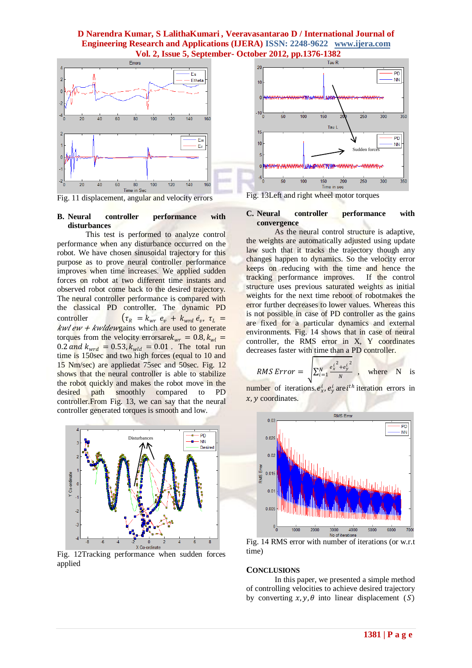

Fig. 11 displacement, angular and velocity errors

### **B. Neural controller performance with disturbances**

This test is performed to analyze control performance when any disturbance occurred on the robot. We have chosen sinusoidal trajectory for this purpose as to prove neural controller performance improves when time increases. We applied sudden forces on robot at two different time instants and observed robot come back to the desired trajectory. The neural controller performance is compared with the classical PD controller. The dynamic PD controller  $(\tau_R = k_{wr} e_v + k_{wrd} e_v, \tau_L =$  $kwlew + kwldew$ gains which are used to generate torques from the velocity errorsare $k_{wr} = 0.8, k_{wl} =$ 0.2 and  $k_{wrd} = 0.53$ ,  $k_{wld} = 0.01$ . The total run time is 150sec and two high forces (equal to 10 and 15 Nm/sec) are appliedat 75sec and 50sec. Fig. 12 shows that the neural controller is able to stabilize the robot quickly and makes the robot move in the desired path smoothly compared to PD controller. From Fig. 13, we can say that the neural controller generated torques is smooth and low.



Fig. 12Tracking performance when sudden forces applied



Fig. 13Left and right wheel motor torques

### **C. Neural controller performance with convergence**

As the neural control structure is adaptive, the weights are automatically adjusted using update law such that it tracks the trajectory though any changes happen to dynamics. So the velocity error keeps on reducing with the time and hence the tracking performance improves. If the control structure uses previous saturated weights as initial weights for the next time reboot of robotmakes the error further decreases to lower values. Whereas this is not possible in case of PD controller as the gains are fixed for a particular dynamics and external environments. Fig. 14 shows that in case of neural controller, the RMS error in X, Y coordinates decreases faster with time than a PD controller.

$$
RMS Error = \sqrt{\sum_{i=1}^{N} \frac{e_x^{i^2} + e_y^{i^2}}{N}} \quad , \quad \text{where} \quad N \quad \text{is}
$$

number of iterations.  $e_x^i$ ,  $e_y^i$  are  $i^{th}$  iteration errors in  $x, y$  coordinates.



Fig. 14 RMS error with number of iterations (or w.r.t time)

### **CONCLUSIONS**

In this paper, we presented a simple method of controlling velocities to achieve desired trajectory by converting  $x, y, \theta$  into linear displacement (S)